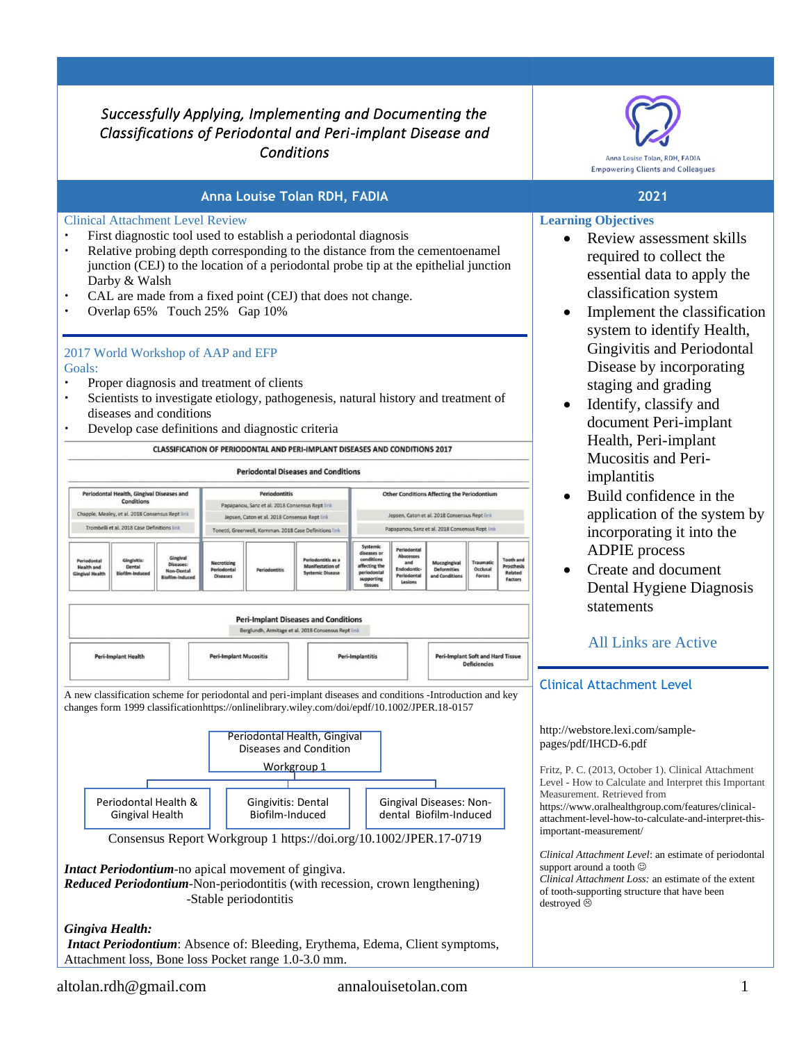## *Successfully Applying, Implementing and Documenting the Classifications of Periodontal and Peri-implant Disease and Conditions*

## **Anna Louise Tolan RDH, FADIA 2021**

#### Clinical Attachment Level Review

- First diagnostic tool used to establish a periodontal diagnosis
- Relative probing depth corresponding to the distance from the cementoenamel junction (CEJ) to the location of a periodontal probe tip at the epithelial junction Darby & Walsh
- CAL are made from a fixed point (CEJ) that does not change.
- Overlap 65% Touch 25% Gap 10%

## 2017 World Workshop of AAP and EFP

#### Goals:

- Proper diagnosis and treatment of clients
- Scientists to investigate etiology, pathogenesis, natural history and treatment of diseases and conditions
- Develop case definitions and diagnostic criteria

CLASSIFICATION OF PERIODONTAL AND PERI-IMPLANT DISEASES AND CONDITIONS 2017



*Intact Periodontium*: Absence of: Bleeding, Erythema, Edema, Client symptoms, Attachment loss, Bone loss Pocket range 1.0-3.0 mm.



### **Learning Objectives**

- Review assessment skills required to collect the essential data to apply the classification system
- Implement the classification system to identify Health, Gingivitis and Periodontal Disease by incorporating staging and grading
- Identify, classify and document Peri-implant Health, Peri-implant Mucositis and Periimplantitis
- Build confidence in the application of the system by incorporating it into the ADPIE process
- Create and document Dental Hygiene Diagnosis statements

## All Links are Active

## Clinical Attachment Level

#### [http://webstore.lexi.com/sample](http://webstore.lexi.com/sample-pages/pdf/IHCD-6.pdf)[pages/pdf/IHCD-6.pdf](http://webstore.lexi.com/sample-pages/pdf/IHCD-6.pdf)

Fritz, P. C. (2013, October 1). Clinical Attachment Level - How to Calculate and Interpret this Important Measurement. Retrieved from [https://www.oralhealthgroup.com/features/clinical](https://www.oralhealthgroup.com/features/clinical-attachment-level-how-to-calculate-and-interpret-this-important-measurement/)[attachment-level-how-to-calculate-and-interpret-this](https://www.oralhealthgroup.com/features/clinical-attachment-level-how-to-calculate-and-interpret-this-important-measurement/)[important-measurement/](https://www.oralhealthgroup.com/features/clinical-attachment-level-how-to-calculate-and-interpret-this-important-measurement/)

*Clinical Attachment Level*: an estimate of periodontal support around a tooth  $\odot$ *Clinical Attachment Loss:* an estimate of the extent of tooth-supporting structure that have been destroyed  $\odot$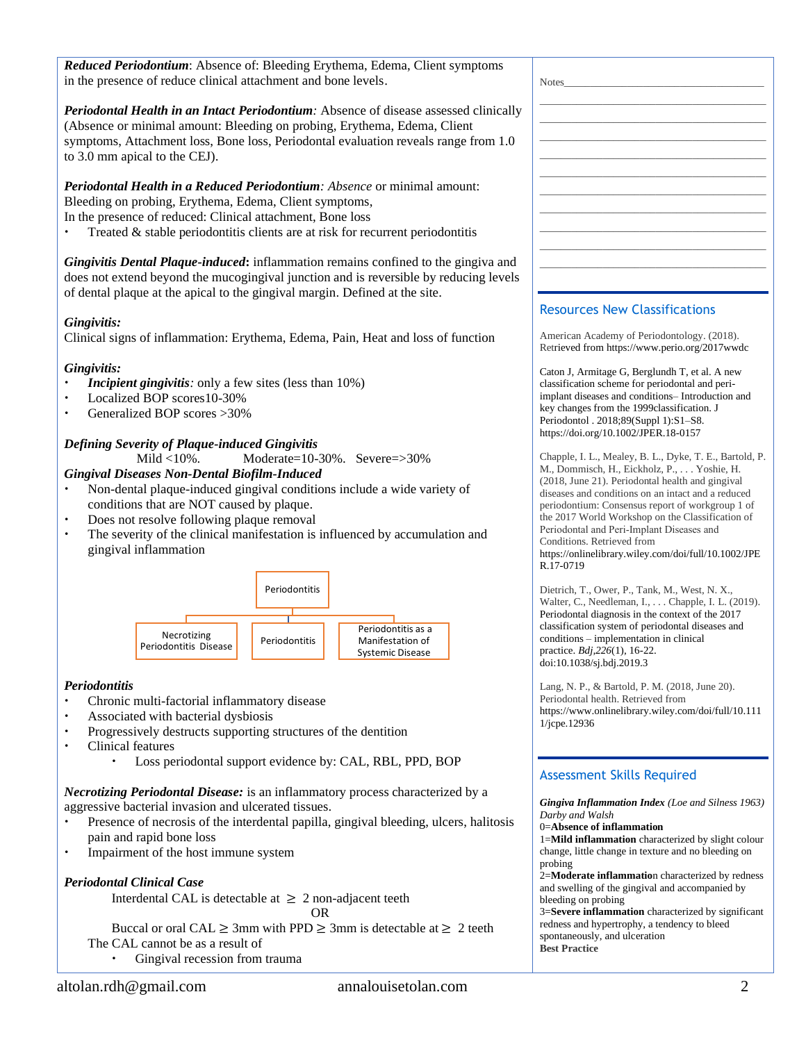*Reduced Periodontium*: Absence of: Bleeding Erythema, Edema, Client symptoms in the presence of reduce clinical attachment and bone levels.

*Periodontal Health in an Intact Periodontium:* Absence of disease assessed clinically (Absence or minimal amount: Bleeding on probing, Erythema, Edema, Client symptoms, Attachment loss, Bone loss, Periodontal evaluation reveals range from 1.0 to 3.0 mm apical to the CEJ).

*Periodontal Health in a Reduced Periodontium: Absence* or minimal amount: Bleeding on probing, Erythema, Edema, Client symptoms, In the presence of reduced: Clinical attachment, Bone loss

Treated & stable periodontitis clients are at risk for recurrent periodontitis

*Gingivitis Dental Plaque-induced***:** inflammation remains confined to the gingiva and does not extend beyond the mucogingival junction and is reversible by reducing levels of dental plaque at the apical to the gingival margin. Defined at the site.

#### *Gingivitis:*

Clinical signs of inflammation: Erythema, Edema, Pain, Heat and loss of function

#### *Gingivitis:*

- *Incipient gingivitis:* only a few sites (less than 10%)
- Localized BOP scores10-30%
- Generalized BOP scores >30%

### *Defining Severity of Plaque-induced Gingivitis*

Mild <10%. Moderate=10-30%. Severe=>30%

#### *Gingival Diseases Non-Dental Biofilm-Induced*

- Non-dental plaque-induced gingival conditions include a wide variety of conditions that are NOT caused by plaque.
- Does not resolve following plaque removal
- The severity of the clinical manifestation is influenced by accumulation and gingival inflammation



#### *Periodontitis*

- Chronic multi-factorial inflammatory disease
- Associated with bacterial dysbiosis
- Progressively destructs supporting structures of the dentition
- Clinical features
	- Loss periodontal support evidence by: CAL, RBL, PPD, BOP

*Necrotizing Periodontal Disease:* is an inflammatory process characterized by a aggressive bacterial invasion and ulcerated tissues.

- Presence of necrosis of the interdental papilla, gingival bleeding, ulcers, halitosis pain and rapid bone loss
- Impairment of the host immune system

## *Periodontal Clinical Case*

Interdental CAL is detectable at  $\geq 2$  non-adjacent teeth

OR Buccal or oral CAL  $\geq 3$ mm with PPD  $\geq 3$ mm is detectable at  $\geq 2$  teeth

The CAL cannot be as a result of

Gingival recession from trauma

| $Notes_$ |                                   |  |
|----------|-----------------------------------|--|
|          |                                   |  |
|          |                                   |  |
|          | the control of the control of the |  |
|          |                                   |  |
|          |                                   |  |
|          |                                   |  |
|          |                                   |  |
|          | the control of the control of the |  |
|          |                                   |  |
|          | _______                           |  |
|          |                                   |  |
|          |                                   |  |
|          |                                   |  |
|          |                                   |  |

## Resources New Classifications

American Academy of Periodontology. (2018). Retrieved fro[m https://www.perio.org/2017wwdc](https://www.perio.org/2017wwdc)

Caton J, Armitage G, Berglundh T, et al. A new classification scheme for periodontal and periimplant diseases and conditions– Introduction and key changes from the 1999classification. J Periodontol . 2018;89(Suppl 1):S1–S8. <https://doi.org/10.1002/JPER.18-0157>

Chapple, I. L., Mealey, B. L., Dyke, T. E., Bartold, P. M., Dommisch, H., Eickholz, P., . . . Yoshie, H. (2018, June 21). Periodontal health and gingival diseases and conditions on an intact and a reduced periodontium: Consensus report of workgroup 1 of the 2017 World Workshop on the Classification of Periodontal and Peri‐Implant Diseases and Conditions. Retrieved from

[https://onlinelibrary.wiley.com/doi/full/10.1002/JPE](https://onlinelibrary.wiley.com/doi/full/10.1002/JPER.17-0719) [R.17-0719](https://onlinelibrary.wiley.com/doi/full/10.1002/JPER.17-0719)

Dietrich, T., Ower, P., Tank, M., West, N. X., Walter, C., Needleman, I., . . . Chapple, I. L. (2019). [Periodontal diagnosis in the context of the 2017](https://www.nature.com/articles/sj.bdj.2019.3)  [classification system of periodontal diseases and](https://www.nature.com/articles/sj.bdj.2019.3)  conditions – [implementation in clinical](https://www.nature.com/articles/sj.bdj.2019.3)  [practice.](https://www.nature.com/articles/sj.bdj.2019.3) *Bdj,226*(1), 16-22. doi:10.1038/sj.bdj.2019.3

Lang, N. P., & Bartold, P. M. (2018, June 20). Periodontal health. Retrieved from [https://www.onlinelibrary.wiley.com/doi/full/10.111](https://www.onlinelibrary.wiley.com/doi/full/10.1111/jcpe.12936) [1/jcpe.12936](https://www.onlinelibrary.wiley.com/doi/full/10.1111/jcpe.12936)

## Assessment Skills Required

*Gingiva Inflammation Index (Loe and Silness 1963) Darby and Walsh*

0=**Absence of inflammation**

1=**Mild inflammation** characterized by slight colour change, little change in texture and no bleeding on probing

2=**Moderate inflammatio**n characterized by redness and swelling of the gingival and accompanied by bleeding on probing

3=**Severe inflammation** characterized by significant redness and hypertrophy, a tendency to bleed spontaneously, and ulceration **Best Practice**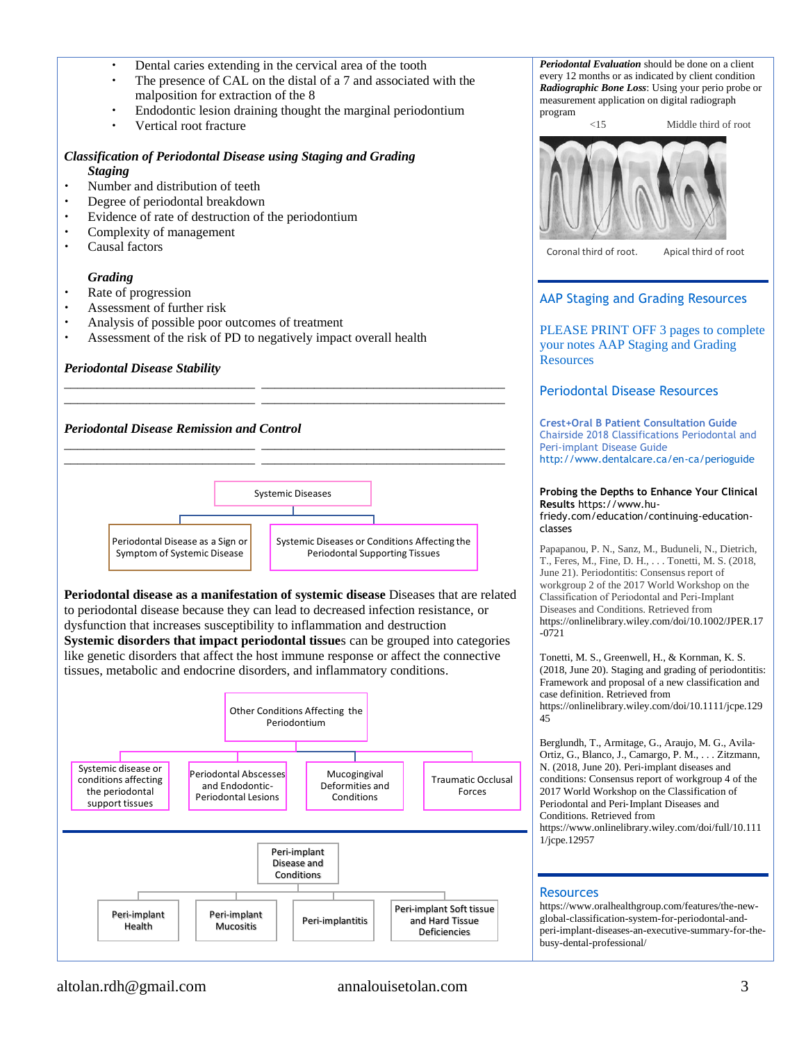- Dental caries extending in the cervical area of the tooth
- The presence of CAL on the distal of a 7 and associated with the malposition for extraction of the 8
- Endodontic lesion draining thought the marginal periodontium
- Vertical root fracture

# *Classification of Periodontal Disease using Staging and Grading*

- *Staging*
- Number and distribution of teeth
- Degree of periodontal breakdown
- Evidence of rate of destruction of the periodontium<br>
Complexity of management
- Complexity of management
- Causal factors

#### *Grading*

- Rate of progression
- Assessment of further risk
- Analysis of possible poor outcomes of treatment
- Assessment of the risk of PD to negatively impact overall health

#### *Periodontal Disease Stability*



**Periodontal disease as a manifestation of systemic disease** Diseases that are related to periodontal disease because they can lead to decreased infection resistance, or dysfunction that increases susceptibility to inflammation and destruction **Systemic disorders that impact periodontal tissue**s can be grouped into categories like genetic disorders that affect the host immune response or affect the connective tissues, metabolic and endocrine disorders, and inflammatory conditions.



*Periodontal Evaluation* should be done on a client every 12 months or as indicated by client condition *Radiographic Bone Loss*: Using your perio probe or measurement application on digital radiograph program



Coronal third of root. Apical third of root

### AAP Staging and Grading Resources

PLEASE PRINT OFF 3 pages to complete your notes AAP Staging and Grading **Resources** 

## Periodontal Disease Resources

**Crest+Oral B Patient Consultation Guide** Chairside 2018 Classifications Periodontal and Peri-implant Disease Guide <http://www.dentalcare.ca/en-ca/perioguide>

## **Probing the Depths to Enhance Your Clinical Results** [https://www.hu-](https://www.hu-friedy.com/education/continuing-education-classes)

[friedy.com/education/continuing-education](https://www.hu-friedy.com/education/continuing-education-classes)[classes](https://www.hu-friedy.com/education/continuing-education-classes)

Papapanou, P. N., Sanz, M., Buduneli, N., Dietrich, T., Feres, M., Fine, D. H., . . . Tonetti, M. S. (2018, June 21). Periodontitis: Consensus report of workgroup 2 of the 2017 World Workshop on the Classification of Periodontal and Peri‐Implant Diseases and Conditions. Retrieved from [https://onlinelibrary.wiley.com/doi/10.1002/JPER.17](https://onlinelibrary.wiley.com/doi/10.1002/JPER.17-0721) [-0721](https://onlinelibrary.wiley.com/doi/10.1002/JPER.17-0721)

Tonetti, M. S., Greenwell, H., & Kornman, K. S. (2018, June 20). Staging and grading of periodontitis: Framework and proposal of a new classification and case definition. Retrieved from [https://onlinelibrary.wiley.com/doi/10.1111/jcpe.129](https://onlinelibrary.wiley.com/doi/10.1111/jcpe.12945) [45](https://onlinelibrary.wiley.com/doi/10.1111/jcpe.12945)

Berglundh, T., Armitage, G., Araujo, M. G., Avila‐ Ortiz, G., Blanco, J., Camargo, P. M., . . . Zitzmann, N. (2018, June 20). Peri‐implant diseases and conditions: Consensus report of workgroup 4 of the 2017 World Workshop on the Classification of Periodontal and Peri-Implant Diseases and Conditions. Retrieved from [https://www.onlinelibrary.wiley.com/doi/full/10.111](https://www.onlinelibrary.wiley.com/doi/full/10.1111/jcpe.12957) [1/jcpe.12957](https://www.onlinelibrary.wiley.com/doi/full/10.1111/jcpe.12957)

#### **Resources**

[https://www.oralhealthgroup.com/features/the-new](https://www.oralhealthgroup.com/features/the-new-global-classification-system-for-periodontal-and-peri-implant-diseases-an-executive-summary-for-the-busy-dental-professional/)[global-classification-system-for-periodontal-and](https://www.oralhealthgroup.com/features/the-new-global-classification-system-for-periodontal-and-peri-implant-diseases-an-executive-summary-for-the-busy-dental-professional/)[peri-implant-diseases-an-executive-summary-for-the](https://www.oralhealthgroup.com/features/the-new-global-classification-system-for-periodontal-and-peri-implant-diseases-an-executive-summary-for-the-busy-dental-professional/)[busy-dental-professional/](https://www.oralhealthgroup.com/features/the-new-global-classification-system-for-periodontal-and-peri-implant-diseases-an-executive-summary-for-the-busy-dental-professional/)